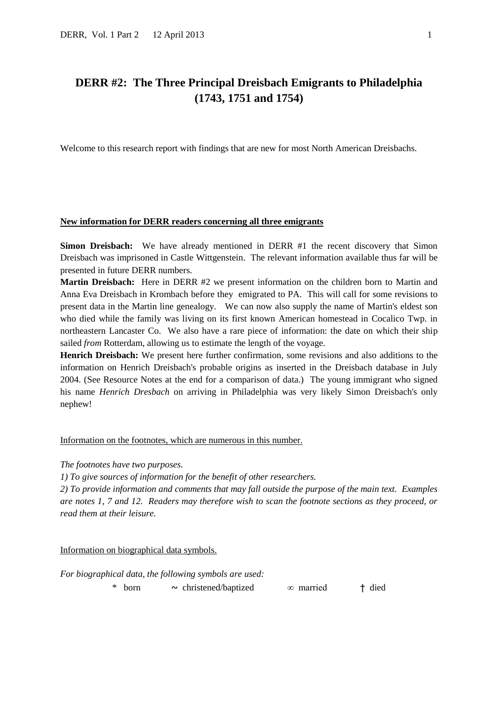# **DERR #2: The Three Principal Dreisbach Emigrants to Philadelphia (1743, 1751 and 1754)**

Welcome to this research report with findings that are new for most North American Dreisbachs.

### **New information for DERR readers concerning all three emigrants**

**Simon Dreisbach:** We have already mentioned in DERR #1 the recent discovery that Simon Dreisbach was imprisoned in Castle Wittgenstein. The relevant information available thus far will be presented in future DERR numbers.

**Martin Dreisbach:** Here in DERR #2 we present information on the children born to Martin and Anna Eva Dreisbach in Krombach before they emigrated to PA. This will call for some revisions to present data in the Martin line genealogy. We can now also supply the name of Martin's eldest son who died while the family was living on its first known American homestead in Cocalico Twp. in northeastern Lancaster Co. We also have a rare piece of information: the date on which their ship sailed *from* Rotterdam, allowing us to estimate the length of the voyage.

**Henrich Dreisbach:** We present here further confirmation, some revisions and also additions to the information on Henrich Dreisbach's probable origins as inserted in the Dreisbach database in July 2004. (See Resource Notes at the end for a comparison of data.) The young immigrant who signed his name *Henrich Dresbach* on arriving in Philadelphia was very likely Simon Dreisbach's only nephew!

Information on the footnotes, which are numerous in this number.

*The footnotes have two purposes.* 

*1) To give sources of information for the benefit of other researchers.* 

*2) To provide information and comments that may fall outside the purpose of the main text. Examples are notes 1, 7 and 12. Readers may therefore wish to scan the footnote sections as they proceed, or read them at their leisure.*

Information on biographical data symbols.

*For biographical data, the following symbols are used:*

\* born ~ christened/baptized ∞ married † died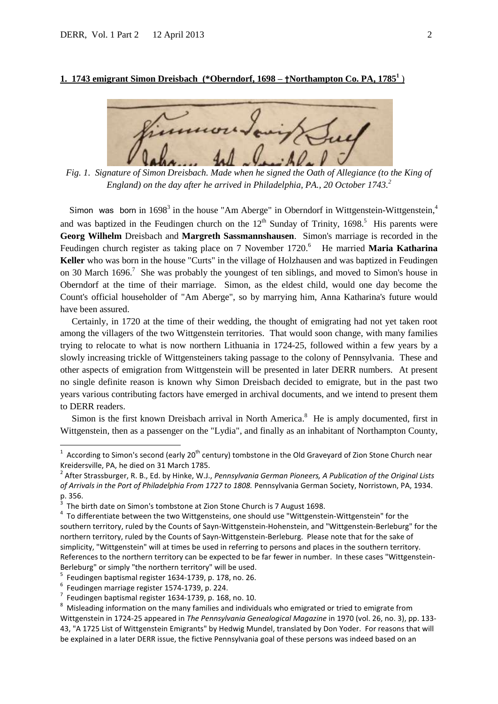### **1. 1743 emigrant Simon Dreisbach (\*Oberndorf, 1698 – †Northampton Co. PA, 1785<sup>1</sup>** )

*Fig. 1. Signature of Simon Dreisbach. Made when he signed the Oath of Allegiance (to the King of England) on the day after he arrived in Philadelphia, PA., 20 October 1743.<sup>2</sup>*

Simon was born in  $1698<sup>3</sup>$  in the house "Am Aberge" in Oberndorf in Wittgenstein-Wittgenstein,<sup>4</sup> and was baptized in the Feudingen church on the  $12<sup>th</sup>$  Sunday of Trinity, 1698.<sup>5</sup> His parents were **Georg Wilhelm** Dreisbach and **Margreth Sassmannshausen**. Simon's marriage is recorded in the Feudingen church register as taking place on 7 November 1720. 6 He married **Maria Katharina Keller** who was born in the house "Curts" in the village of Holzhausen and was baptized in Feudingen on 30 March 1696.<sup>7</sup> She was probably the youngest of ten siblings, and moved to Simon's house in Oberndorf at the time of their marriage. Simon, as the eldest child, would one day become the Count's official householder of "Am Aberge", so by marrying him, Anna Katharina's future would have been assured.

 Certainly, in 1720 at the time of their wedding, the thought of emigrating had not yet taken root among the villagers of the two Wittgenstein territories. That would soon change, with many families trying to relocate to what is now northern Lithuania in 1724-25, followed within a few years by a slowly increasing trickle of Wittgensteiners taking passage to the colony of Pennsylvania. These and other aspects of emigration from Wittgenstein will be presented in later DERR numbers. At present no single definite reason is known why Simon Dreisbach decided to emigrate, but in the past two years various contributing factors have emerged in archival documents, and we intend to present them to DERR readers.

Simon is the first known Dreisbach arrival in North America.<sup>8</sup> He is amply documented, first in Wittgenstein, then as a passenger on the "Lydia", and finally as an inhabitant of Northampton County,

 $\overline{a}$ 

<sup>&</sup>lt;sup>1</sup> According to Simon's second (early 20<sup>th</sup> century) tombstone in the Old Graveyard of Zion Stone Church near Kreidersville, PA, he died on 31 March 1785.

<sup>2</sup> After Strassburger, R. B., Ed. by Hinke, W.J., *Pennsylvania German Pioneers, A Publication of the Original Lists of Arrivals in the Port of Philadelphia From 1727 to 1808.* Pennsylvania German Society, Norristown, PA, 1934. p. 356.

<sup>3</sup> The birth date on Simon's tombstone at Zion Stone Church is 7 August 1698.

 $4$  To differentiate between the two Wittgensteins, one should use "Wittgenstein-Wittgenstein" for the southern territory, ruled by the Counts of Sayn-Wittgenstein-Hohenstein, and "Wittgenstein-Berleburg" for the northern territory, ruled by the Counts of Sayn-Wittgenstein-Berleburg. Please note that for the sake of simplicity, "Wittgenstein" will at times be used in referring to persons and places in the southern territory. References to the northern territory can be expected to be far fewer in number. In these cases "Wittgenstein-Berleburg" or simply "the northern territory" will be used.

<sup>5</sup> Feudingen baptismal register 1634-1739, p. 178, no. 26.

<sup>6</sup> Feudingen marriage register 1574-1739, p. 224.

 $^7$  Feudingen baptismal register 1634-1739, p. 168, no. 10.

<sup>&</sup>lt;sup>8</sup> Misleading information on the many families and individuals who emigrated or tried to emigrate from Wittgenstein in 1724-25 appeared in *The Pennsylvania Genealogical Magazine* in 1970 (vol. 26, no. 3), pp. 133- 43, "A 1725 List of Wittgenstein Emigrants" by Hedwig Mundel, translated by Don Yoder. For reasons that will be explained in a later DERR issue, the fictive Pennsylvania goal of these persons was indeed based on an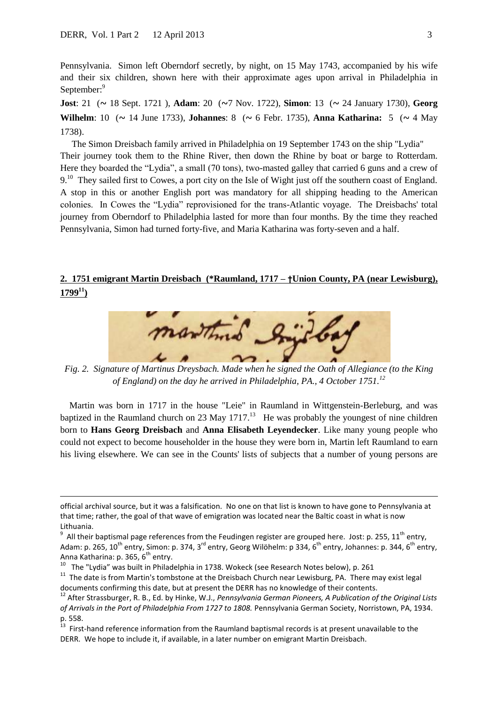$\overline{a}$ 

Pennsylvania. Simon left Oberndorf secretly, by night, on 15 May 1743, accompanied by his wife and their six children, shown here with their approximate ages upon arrival in Philadelphia in September:<sup>9</sup>

**Jost**: 21 (~ 18 Sept. 1721 ), **Adam**: 20 (~7 Nov. 1722), **Simon**: 13 (~ 24 January 1730), **Georg Wilhelm**: 10 (~ 14 June 1733), **Johannes**: 8 (~ 6 Febr. 1735), **Anna Katharina:** 5 (~ 4 May 1738).

The Simon Dreisbach family arrived in Philadelphia on 19 September 1743 on the ship "Lydia"

Their journey took them to the Rhine River, then down the Rhine by boat or barge to Rotterdam. Here they boarded the "Lydia", a small (70 tons), two-masted galley that carried 6 guns and a crew of 9.<sup>10</sup> They sailed first to Cowes, a port city on the Isle of Wight just off the southern coast of England. A stop in this or another English port was mandatory for all shipping heading to the American colonies. In Cowes the "Lydia" reprovisioned for the trans-Atlantic voyage. The Dreisbachs' total journey from Oberndorf to Philadelphia lasted for more than four months. By the time they reached Pennsylvania, Simon had turned forty-five, and Maria Katharina was forty-seven and a half.

## **2. 1751 emigrant Martin Dreisbach (\*Raumland, 1717 – †Union County, PA (near Lewisburg),**   $1799^{11}$



*Fig. 2. Signature of Martinus Dreysbach. Made when he signed the Oath of Allegiance (to the King of England) on the day he arrived in Philadelphia, PA., 4 October 1751.<sup>12</sup>*

 Martin was born in 1717 in the house "Leie" in Raumland in Wittgenstein-Berleburg, and was baptized in the Raumland church on 23 May  $1717$ <sup>13</sup> He was probably the youngest of nine children born to **Hans Georg Dreisbach** and **Anna Elisabeth Leyendecker**. Like many young people who could not expect to become householder in the house they were born in, Martin left Raumland to earn his living elsewhere. We can see in the Counts' lists of subjects that a number of young persons are

official archival source, but it was a falsification. No one on that list is known to have gone to Pennsylvania at that time; rather, the goal of that wave of emigration was located near the Baltic coast in what is now Lithuania.

 $^9$  All their baptismal page references from the Feudingen register are grouped here. Jost: p. 255, 11<sup>th</sup> entry, Adam: p. 265, 10<sup>th</sup> entry, Simon: p. 374, 3<sup>rd</sup> entry, Georg Wilöhelm: p 334, 6<sup>th</sup> entry, Johannes: p. 344, 6<sup>th</sup> entry, Anna Katharina: p. 365, 6<sup>th</sup> entry.

 $10$  The "Lydia" was built in Philadelphia in 1738. Wokeck (see Research Notes below), p. 261

<sup>&</sup>lt;sup>11</sup> The date is from Martin's tombstone at the Dreisbach Church near Lewisburg, PA. There may exist legal documents confirming this date, but at present the DERR has no knowledge of their contents.

<sup>12</sup> After Strassburger, R. B., Ed. by Hinke, W.J., *Pennsylvania German Pioneers, A Publication of the Original Lists of Arrivals in the Port of Philadelphia From 1727 to 1808.* Pennsylvania German Society, Norristown, PA, 1934. p. 558.<br> $13$  First

<sup>13</sup> First-hand reference information from the Raumland baptismal records is at present unavailable to the DERR. We hope to include it, if available, in a later number on emigrant Martin Dreisbach.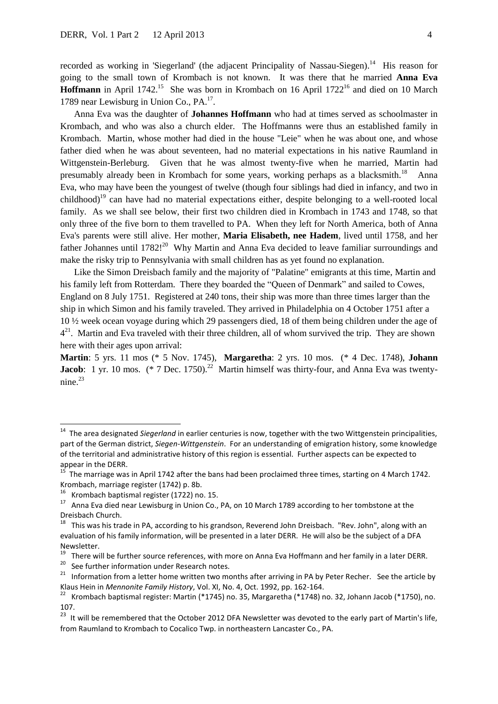recorded as working in 'Siegerland' (the adjacent Principality of Nassau-Siegen).<sup>14</sup> His reason for going to the small town of Krombach is not known. It was there that he married **Anna Eva**  Hoffmann in April 1742.<sup>15</sup> She was born in Krombach on 16 April 1722<sup>16</sup> and died on 10 March 1789 near Lewisburg in Union Co., PA.<sup>17</sup>.

 Anna Eva was the daughter of **Johannes Hoffmann** who had at times served as schoolmaster in Krombach, and who was also a church elder. The Hoffmanns were thus an established family in Krombach. Martin, whose mother had died in the house "Leie" when he was about one, and whose father died when he was about seventeen, had no material expectations in his native Raumland in Wittgenstein-Berleburg. Given that he was almost twenty-five when he married, Martin had presumably already been in Krombach for some years, working perhaps as a blacksmith.<sup>18</sup> Anna Eva, who may have been the youngest of twelve (though four siblings had died in infancy, and two in childhood)<sup>19</sup> can have had no material expectations either, despite belonging to a well-rooted local family. As we shall see below, their first two children died in Krombach in 1743 and 1748, so that only three of the five born to them travelled to PA. When they left for North America, both of Anna Eva's parents were still alive. Her mother, **Maria Elisabeth, nee Hadem**, lived until 1758, and her father Johannes until 1782!<sup>20</sup> Why Martin and Anna Eva decided to leave familiar surroundings and make the risky trip to Pennsylvania with small children has as yet found no explanation.

 Like the Simon Dreisbach family and the majority of "Palatine" emigrants at this time, Martin and his family left from Rotterdam. There they boarded the "Queen of Denmark" and sailed to Cowes, England on 8 July 1751. Registered at 240 tons, their ship was more than three times larger than the ship in which Simon and his family traveled. They arrived in Philadelphia on 4 October 1751 after a 10 ½ week ocean voyage during which 29 passengers died, 18 of them being children under the age of  $4<sup>21</sup>$ . Martin and Eva traveled with their three children, all of whom survived the trip. They are shown here with their ages upon arrival:

**Martin**: 5 yrs. 11 mos (\* 5 Nov. 1745), **Margaretha**: 2 yrs. 10 mos. (\* 4 Dec. 1748), **Johann Jacob**: 1 yr. 10 mos.  $(* 7$  Dec. 1750).<sup>22</sup> Martin himself was thirty-four, and Anna Eva was twenty $nine.<sup>23</sup>$ 

1

See further information under Research notes.

<sup>&</sup>lt;sup>14</sup> The area designated *Siegerland* in earlier centuries is now, together with the two Wittgenstein principalities, part of the German district, *Siegen-Wittgenstein*. For an understanding of emigration history, some knowledge of the territorial and administrative history of this region is essential. Further aspects can be expected to

appear in the DERR.<br><sup>15</sup> The marriage was in April 1742 after the bans had been proclaimed three times, starting on 4 March 1742. Krombach, marriage register (1742) p. 8b.

<sup>16</sup> Krombach baptismal register (1722) no. 15.

<sup>17</sup> Anna Eva died near Lewisburg in Union Co., PA, on 10 March 1789 according to her tombstone at the Dreisbach Church.

 $18$  This was his trade in PA, according to his grandson, Reverend John Dreisbach. "Rev. John", along with an evaluation of his family information, will be presented in a later DERR. He will also be the subject of a DFA Newsletter.

<sup>&</sup>lt;sup>19</sup> There will be further source references, with more on Anna Eva Hoffmann and her family in a later DERR.<br><sup>20</sup> See further information under Besearch notes.

<sup>&</sup>lt;sup>21</sup> Information from a letter home written two months after arriving in PA by Peter Recher. See the article by Klaus Hein in *Mennonite Family History*, Vol. XI, No. 4, Oct. 1992, pp. 162-164.

<sup>22</sup> Krombach baptismal register: Martin (\*1745) no. 35, Margaretha (\*1748) no. 32, Johann Jacob (\*1750), no. 107.

 $^{23}$  It will be remembered that the October 2012 DFA Newsletter was devoted to the early part of Martin's life. from Raumland to Krombach to Cocalico Twp. in northeastern Lancaster Co., PA.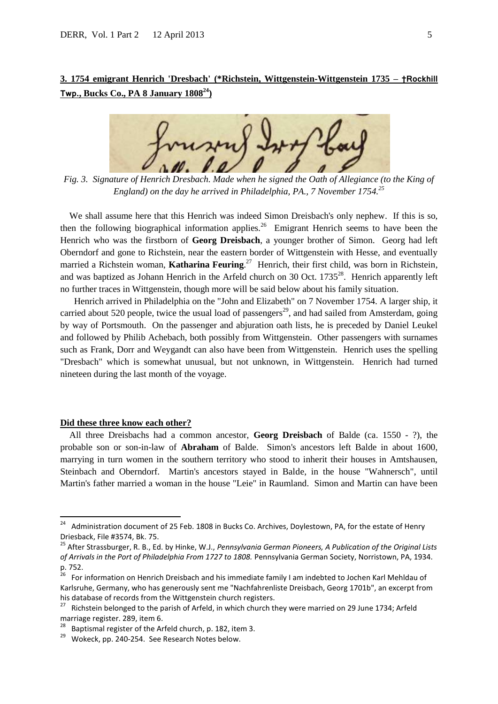## **3. 1754 emigrant Henrich 'Dresbach' (\*Richstein, Wittgenstein-Wittgenstein 1735 – †Rockhill Twp., Bucks Co., PA 8 January 1808<sup>24</sup>)**



*Fig. 3. Signature of Henrich Dresbach. Made when he signed the Oath of Allegiance (to the King of England) on the day he arrived in Philadelphia, PA., 7 November 1754.<sup>25</sup>*

We shall assume here that this Henrich was indeed Simon Dreisbach's only nephew. If this is so, then the following biographical information applies.<sup>26</sup> Emigrant Henrich seems to have been the Henrich who was the firstborn of **Georg Dreisbach**, a younger brother of Simon. Georg had left Oberndorf and gone to Richstein, near the eastern border of Wittgenstein with Hesse, and eventually married a Richstein woman, **Katharina Feuring**. 27 Henrich, their first child, was born in Richstein, and was baptized as Johann Henrich in the Arfeld church on 30 Oct.  $1735^{28}$ . Henrich apparently left no further traces in Wittgenstein, though more will be said below about his family situation.

 Henrich arrived in Philadelphia on the "John and Elizabeth" on 7 November 1754. A larger ship, it carried about 520 people, twice the usual load of passengers<sup>29</sup>, and had sailed from Amsterdam, going by way of Portsmouth. On the passenger and abjuration oath lists, he is preceded by Daniel Leukel and followed by Philib Achebach, both possibly from Wittgenstein. Other passengers with surnames such as Frank, Dorr and Weygandt can also have been from Wittgenstein. Henrich uses the spelling "Dresbach" which is somewhat unusual, but not unknown, in Wittgenstein. Henrich had turned nineteen during the last month of the voyage.

#### **Did these three know each other?**

 All three Dreisbachs had a common ancestor, **Georg Dreisbach** of Balde (ca. 1550 - ?), the probable son or son-in-law of **Abraham** of Balde. Simon's ancestors left Balde in about 1600, marrying in turn women in the southern territory who stood to inherit their houses in Amtshausen, Steinbach and Oberndorf. Martin's ancestors stayed in Balde, in the house "Wahnersch", until Martin's father married a woman in the house "Leie" in Raumland. Simon and Martin can have been

 24 Administration document of 25 Feb. 1808 in Bucks Co. Archives, Doylestown, PA, for the estate of Henry Driesback, File #3574, Bk. 75.

<sup>25</sup> After Strassburger, R. B., Ed. by Hinke, W.J., *Pennsylvania German Pioneers, A Publication of the Original Lists of Arrivals in the Port of Philadelphia From 1727 to 1808.* Pennsylvania German Society, Norristown, PA, 1934. p. 752.

<sup>26</sup> For information on Henrich Dreisbach and his immediate family I am indebted to Jochen Karl Mehldau of Karlsruhe, Germany, who has generously sent me "Nachfahrenliste Dreisbach, Georg 1701b", an excerpt from his database of records from the Wittgenstein church registers.

<sup>&</sup>lt;sup>27</sup> Richstein belonged to the parish of Arfeld, in which church they were married on 29 June 1734; Arfeld marriage register. 289, item 6.

 $28$  Baptismal register of the Arfeld church, p. 182, item 3.

<sup>&</sup>lt;sup>29</sup> Wokeck, pp. 240-254. See Research Notes below.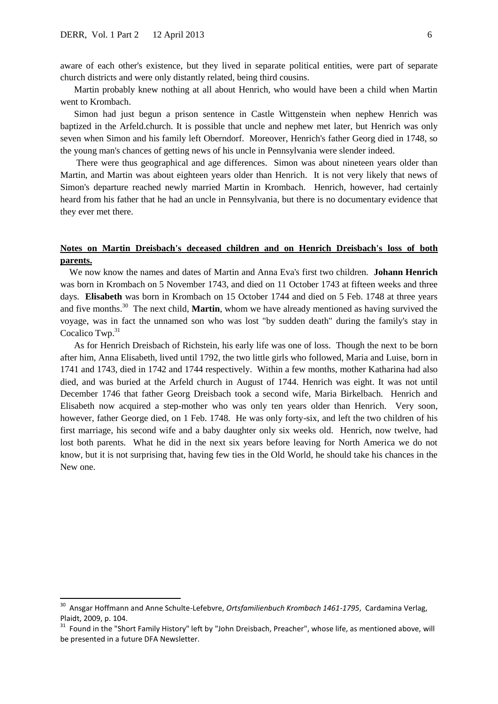aware of each other's existence, but they lived in separate political entities, were part of separate church districts and were only distantly related, being third cousins.

 Martin probably knew nothing at all about Henrich, who would have been a child when Martin went to Krombach.

 Simon had just begun a prison sentence in Castle Wittgenstein when nephew Henrich was baptized in the Arfeld.church. It is possible that uncle and nephew met later, but Henrich was only seven when Simon and his family left Oberndorf. Moreover, Henrich's father Georg died in 1748, so the young man's chances of getting news of his uncle in Pennsylvania were slender indeed.

 There were thus geographical and age differences. Simon was about nineteen years older than Martin, and Martin was about eighteen years older than Henrich. It is not very likely that news of Simon's departure reached newly married Martin in Krombach. Henrich, however, had certainly heard from his father that he had an uncle in Pennsylvania, but there is no documentary evidence that they ever met there.

### **Notes on Martin Dreisbach's deceased children and on Henrich Dreisbach's loss of both parents.**

 We now know the names and dates of Martin and Anna Eva's first two children. **Johann Henrich** was born in Krombach on 5 November 1743, and died on 11 October 1743 at fifteen weeks and three days. **Elisabeth** was born in Krombach on 15 October 1744 and died on 5 Feb. 1748 at three years and five months.<sup>30</sup> The next child, **Martin**, whom we have already mentioned as having survived the voyage, was in fact the unnamed son who was lost "by sudden death" during the family's stay in Cocalico Twp. $31$ 

 As for Henrich Dreisbach of Richstein, his early life was one of loss. Though the next to be born after him, Anna Elisabeth, lived until 1792, the two little girls who followed, Maria and Luise, born in 1741 and 1743, died in 1742 and 1744 respectively. Within a few months, mother Katharina had also died, and was buried at the Arfeld church in August of 1744. Henrich was eight. It was not until December 1746 that father Georg Dreisbach took a second wife, Maria Birkelbach. Henrich and Elisabeth now acquired a step-mother who was only ten years older than Henrich. Very soon, however, father George died, on 1 Feb. 1748. He was only forty-six, and left the two children of his first marriage, his second wife and a baby daughter only six weeks old. Henrich, now twelve, had lost both parents. What he did in the next six years before leaving for North America we do not know, but it is not surprising that, having few ties in the Old World, he should take his chances in the New one.

 30 Ansgar Hoffmann and Anne Schulte-Lefebvre, *Ortsfamilienbuch Krombach 1461-1795*, Cardamina Verlag, Plaidt, 2009, p. 104.

<sup>&</sup>lt;sup>31</sup> Found in the "Short Family History" left by "John Dreisbach, Preacher", whose life, as mentioned above, will be presented in a future DFA Newsletter.